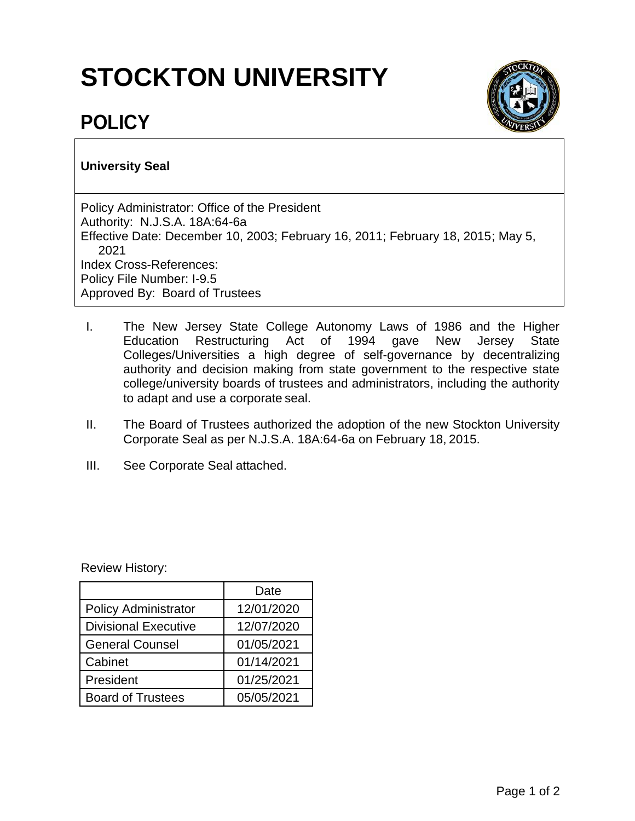# **STOCKTON UNIVERSITY**



# **POLICY**

# **University Seal**

Policy Administrator: Office of the President Authority: N.J.S.A. 18A:64-6a Effective Date: December 10, 2003; February 16, 2011; February 18, 2015; May 5, 2021 Index Cross-References: Policy File Number: I-9.5 Approved By: Board of Trustees

- I. The New Jersey State College Autonomy Laws of 1986 and the Higher Education Restructuring Act of 1994 gave New Jersey State Colleges/Universities a high degree of self-governance by decentralizing authority and decision making from state government to the respective state college/university boards of trustees and administrators, including the authority to adapt and use a corporate seal.
- II. The Board of Trustees authorized the adoption of the new Stockton University Corporate Seal as per N.J.S.A. 18A:64-6a on February 18, 2015.
- III. See Corporate Seal attached.

Review History:

|                             | Date       |  |  |  |
|-----------------------------|------------|--|--|--|
| <b>Policy Administrator</b> | 12/01/2020 |  |  |  |
| <b>Divisional Executive</b> | 12/07/2020 |  |  |  |
| <b>General Counsel</b>      | 01/05/2021 |  |  |  |
| Cabinet                     | 01/14/2021 |  |  |  |
| 01/25/2021<br>President     |            |  |  |  |
| <b>Board of Trustees</b>    | 05/05/2021 |  |  |  |